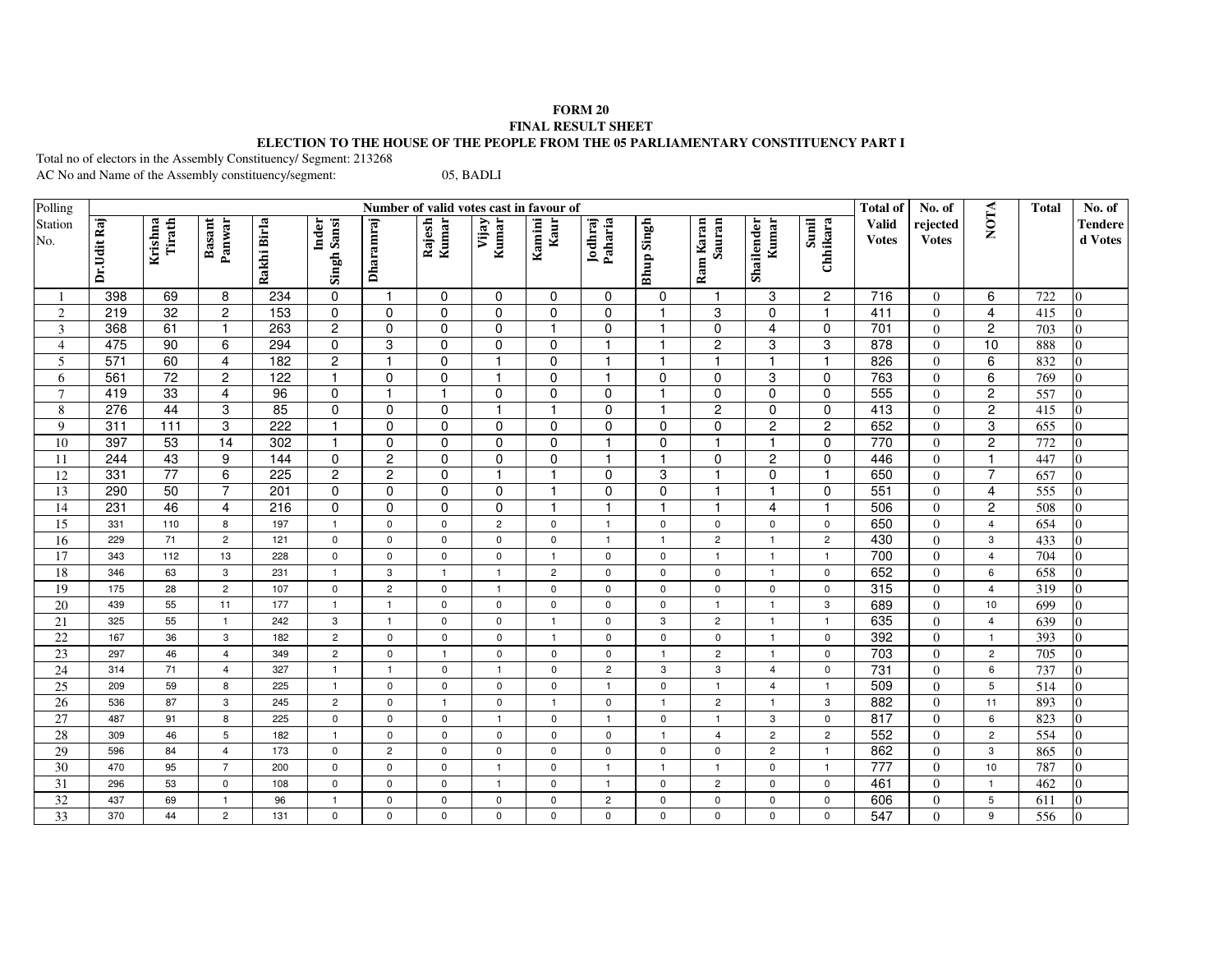## **FORM 20 FINAL RESULT SHEET ELECTION TO THE HOUSE OF THE PEOPLE FROM THE 05 PARLIAMENTARY CONSTITUENCY PART I**

Total no of electors in the Assembly Constituency/ Segment: 213268

AC No and Name of the Assembly constituency/segment: 05, BADLI

| Polling         | Number of valid votes cast in favour of |                   |                         |             |                      |                  |                 |                |                |                    |                   |                     |                     |                   | <b>Total of</b>              | No. of                   |                | <b>Total</b>     | No. of             |
|-----------------|-----------------------------------------|-------------------|-------------------------|-------------|----------------------|------------------|-----------------|----------------|----------------|--------------------|-------------------|---------------------|---------------------|-------------------|------------------------------|--------------------------|----------------|------------------|--------------------|
| Station<br>No.  | Dr.Udit Raj                             | Tirath<br>Krishna | <b>Basant</b><br>Panwar | Rakhi Birla | Inder<br>Singh Sansi | <b>Dharamraj</b> | Rajesh<br>Kumar | Kumar<br>Vijay | Kamini<br>Kaur | Jodhraj<br>Paharia | <b>Bhup Singh</b> | Sauran<br>Ram Karan | Shailender<br>Kumar | Sunil<br>Chhikara | <b>Valid</b><br><b>Votes</b> | rejected<br><b>Votes</b> | <b>NOTA</b>    |                  | Tendere<br>d Votes |
| $\mathbf{1}$    | 398                                     | 69                | 8                       | 234         | 0                    | $\overline{1}$   | 0               | 0              | $\mathbf 0$    | $\Omega$           | 0                 | $\mathbf{1}$        | 3                   | $\overline{c}$    | 716                          | $\Omega$                 | 6              | 722              | $\Omega$           |
| 2               | 219                                     | 32                | $\mathbf{2}$            | 153         | 0                    | 0                | 0               | 0              | $\mathbf 0$    | $\Omega$           | $\mathbf{1}$      | 3                   | $\mathbf 0$         | $\mathbf{1}$      | 411                          | $\overline{0}$           | 4              | 415              | $\Omega$           |
| $\mathfrak{Z}$  | 368                                     | 61                | $\mathbf{1}$            | 263         | $\overline{c}$       | 0                | 0               | 0              | 1              | $\Omega$           | $\mathbf{1}$      | $\Omega$            | $\overline{4}$      | 0                 | 701                          | $\Omega$                 | $\overline{c}$ | 703              | $\Omega$           |
| $\overline{4}$  | 475                                     | 90                | 6                       | 294         | $\mathbf 0$          | 3                | $\pmb{0}$       | $\mathbf 0$    | 0              | $\mathbf{1}$       | -1                | $\overline{2}$      | $\,3$               | 3                 | 878                          | $\Omega$                 | 10             | 888              | $\Omega$           |
| 5               | 571                                     | 60                | $\overline{4}$          | 182         | $\overline{2}$       | -1               | $\pmb{0}$       |                | $\mathbf 0$    | -1                 |                   |                     | $\mathbf{1}$        | $\overline{1}$    | 826                          | $\Omega$                 | 6              | 832              | $\Omega$           |
| 6               | 561                                     | 72                | $\sqrt{2}$              | 122         | $\overline{1}$       | $\mathbf 0$      | $\pmb{0}$       |                | $\mathbf 0$    |                    | $\Omega$          | $\Omega$            | 3                   | 0                 | 763                          | $\Omega$                 | 6              | 769              | $\Omega$           |
| $\overline{7}$  | 419                                     | 33                | $\overline{4}$          | 96          | $\mathbf 0$          | $\overline{1}$   | $\overline{1}$  | $\mathbf 0$    | $\mathbf 0$    | $\mathbf 0$        |                   | $\Omega$            | $\mathbf 0$         | $\mathbf 0$       | 555                          | $\Omega$                 | $\overline{2}$ | 557              | $\Omega$           |
| $\,8\,$         | 276                                     | $\overline{44}$   | 3                       | 85          | 0                    | $\pmb{0}$        | 0               | -1             |                | $\mathbf 0$        | $\mathbf{1}$      | $\overline{2}$      | $\pmb{0}$           | $\overline{0}$    | 413                          | $\Omega$                 | $\overline{2}$ | 415              | $\overline{0}$     |
| 9               | 311                                     | $\frac{111}{111}$ | 3                       | 222         | $\overline{1}$       | 0                | 0               | $\mathbf 0$    | $\mathbf 0$    | $\mathbf 0$        | $\mathbf 0$       | $\Omega$            | $\overline{2}$      | $\overline{2}$    | 652                          | $\overline{0}$           | 3              | 655              | $\overline{0}$     |
| 10              | 397                                     | 53                | $\overline{14}$         | 302         | $\overline{1}$       | 0                | 0               | 0              | $\mathbf 0$    | $\mathbf{1}$       | $\mathbf 0$       |                     | $\overline{1}$      | 0                 | 770                          | $\overline{0}$           | $\overline{2}$ | 772              | $\overline{0}$     |
| 11              | 244                                     | 43                | 9                       | 144         | $\mathbf 0$          | $\overline{2}$   | $\mathbf 0$     | $\mathbf 0$    | $\mathbf 0$    |                    | $\mathbf{1}$      | $\mathbf 0$         | $\overline{2}$      | $\overline{0}$    | 446                          | $\Omega$                 | $\mathbf{1}$   | 447              | $\Omega$           |
| 12              | 331                                     | $\overline{77}$   | 6                       | 225         | $\overline{2}$       | $\overline{c}$   | $\mathbf 0$     | 1              |                | $\Omega$           | 3                 | $\mathbf{1}$        | $\mathbf 0$         | $\mathbf{1}$      | 650                          | $\Omega$                 | $\overline{7}$ | 657              | $\overline{0}$     |
| 13              | 290                                     | 50                | $\overline{7}$          | 201         | $\mathbf 0$          | $\mathbf 0$      | $\mathbf 0$     | $\mathsf 0$    | -1             | $\Omega$           | $\mathbf 0$       |                     | $\overline{1}$      | $\mathbf 0$       | 551                          | $\Omega$                 | 4              | $\overline{555}$ | $\overline{0}$     |
| 14              | 231                                     | 46                | 4                       | 216         | $\Omega$             | 0                | $\mathbf 0$     | $\mathbf 0$    |                |                    | $\overline{1}$    |                     | $\overline{4}$      | $\overline{1}$    | 506                          | $\Omega$                 | $\overline{2}$ | 508              | $\overline{0}$     |
| 15              | 331                                     | 110               | 8                       | 197         | $\mathbf{1}$         | $\pmb{0}$        | $\mathbf 0$     | $\overline{2}$ | $\mathbf 0$    | $\mathbf{1}$       | $\mathbf 0$       | $\mathbf 0$         | $\mathbf 0$         | $\mathsf 0$       | 650                          | $\Omega$                 | $\overline{4}$ | 654              | $\Omega$           |
| 16              | 229                                     | 71                | $\overline{c}$          | 121         | $\mathbf 0$          | $\pmb{0}$        | $\mathsf{O}$    | 0              | $\mathbf 0$    | $\overline{1}$     | $\mathbf{1}$      | $\overline{2}$      | $\overline{1}$      | $\overline{c}$    | 430                          | $\Omega$                 | 3              | 433              | $\overline{0}$     |
| 17              | 343                                     | 112               | 13                      | 228         | $\mathbf 0$          | $\mathsf 0$      | $\mathbf 0$     | $\mathbf 0$    | $\overline{1}$ | $\mathbf{0}$       | $\mathbf 0$       | $\overline{1}$      | $\overline{1}$      | $\mathbf{1}$      | 700                          | $\overline{0}$           | $\overline{4}$ | 704              | $\Omega$           |
| 18              | 346                                     | 63                | 3                       | 231         | $\overline{1}$       | 3                | $\mathbf{1}$    | $\mathbf{1}$   | $\overline{2}$ | $\mathbf 0$        | $\mathbf 0$       | $\mathbf{0}$        | $\overline{1}$      | $\pmb{0}$         | 652                          | $\overline{0}$           | 6              | 658              | $\Omega$           |
| 19              | 175                                     | 28                | $\overline{c}$          | 107         | $\mathbf 0$          | $\mathbf 2$      | $\mathsf{O}$    | $\overline{1}$ | $\mathsf 0$    | $\pmb{0}$          | $\mathsf{O}$      | $\mathsf{O}$        | $\pmb{0}$           | $\pmb{0}$         | 315                          | $\overline{0}$           | $\overline{4}$ | 319              | $\Omega$           |
| $\overline{20}$ | 439                                     | 55                | 11                      | 177         | $\overline{1}$       | $\overline{1}$   | $\mathsf{O}$    | $\mathbf 0$    | $\mathbf 0$    | $\mathbf 0$        | $\mathsf{O}$      | $\overline{1}$      | $\overline{1}$      | $\mathbf{3}$      | 689                          | $\Omega$                 | 10             | 699              | $\Omega$           |
| $\overline{21}$ | 325                                     | 55                | $\mathbf{1}$            | 242         | 3                    | $\overline{1}$   | $\mathsf{O}$    | 0              | $\overline{1}$ | $\mathbf 0$        | 3                 | $\overline{2}$      | $\mathbf{1}$        | $\mathbf{1}$      | 635                          | $\Omega$                 | $\overline{4}$ | 639              | $\Omega$           |
| 22              | 167                                     | 36                | 3                       | 182         | $\overline{2}$       | $\mathbf 0$      | $\mathsf 0$     | $\mathbf 0$    | -1             | $\mathbf 0$        | $\mathbf 0$       | $\mathbf 0$         | $\overline{1}$      | $\mathbf 0$       | 392                          | $\Omega$                 | $\mathbf{1}$   | 393              | $\Omega$           |
| 23              | 297                                     | 46                | $\overline{4}$          | 349         | $\overline{2}$       | $\pmb{0}$        | $\overline{1}$  | $\mathbf 0$    | 0              | $\mathbf 0$        | $\overline{1}$    | $\overline{2}$      | $\overline{1}$      | $\mathbf 0$       | 703                          | $\Omega$                 | $\overline{c}$ | 705              | $\Omega$           |
| 24              | 314                                     | 71                | $\overline{4}$          | 327         | $\mathbf{1}$         | $\overline{1}$   | $\mathbf 0$     | $\mathbf{1}$   | $\mathbf 0$    | $\overline{c}$     | 3                 | 3                   | $\overline{4}$      | $\mathbf 0$       | 731                          | $\Omega$                 | 6              | 737              | $\Omega$           |
| 25              | 209                                     | 59                | 8                       | 225         | $\mathbf{1}$         | $\mathsf 0$      | $\mathbf 0$     | $\mathbf 0$    | $\mathbf 0$    | $\overline{1}$     | $\mathbf 0$       | $\overline{1}$      | $\overline{4}$      | $\mathbf{1}$      | 509                          | $\Omega$                 | 5              | 514              | $\overline{0}$     |
| 26              | 536                                     | 87                | 3                       | 245         | $\overline{c}$       | $\pmb{0}$        | $\overline{1}$  | $\mathbf 0$    | $\overline{1}$ | $\mathbf 0$        | $\mathbf{1}$      | $\overline{c}$      | $\overline{1}$      | 3                 | 882                          | $\Omega$                 | 11             | 893              | $\overline{0}$     |
| 27              | 487                                     | 91                | 8                       | 225         | $\mathsf 0$          | $\mathsf 0$      | $\mathsf 0$     | $\mathbf{1}$   | 0              | $\mathbf{1}$       | $\mathsf{O}$      | $\overline{1}$      | 3                   | $\mathsf 0$       | 817                          | $\overline{0}$           | 6              | 823              | $\overline{0}$     |
| 28              | 309                                     | 46                | 5                       | 182         | $\mathbf{1}$         | $\mathsf 0$      | $\mathbf 0$     | 0              | $\mathbf 0$    | 0                  | $\overline{1}$    | $\overline{4}$      | $\overline{c}$      | $\overline{2}$    | 552                          | $\Omega$                 | $\overline{c}$ | 554              | $\overline{0}$     |
| $\overline{29}$ | 596                                     | 84                | $\overline{4}$          | 173         | $\mathbf 0$          | $\mathbf 2$      | 0               | $\mathbf 0$    | $\mathbf 0$    | $\mathbf 0$        | $\mathbf 0$       | $\mathbf 0$         | $\overline{c}$      | $\mathbf{1}$      | 862                          | $\Omega$                 | 3              | 865              | $\overline{0}$     |
| $\overline{30}$ | 470                                     | 95                | $\overline{7}$          | 200         | $\mathbf{0}$         | $\mathbf 0$      | $\mathbf 0$     | $\mathbf{1}$   | $\mathbf 0$    | $\overline{1}$     | $\mathbf{1}$      | $\mathbf{1}$        | $\mathbf 0$         | $\mathbf{1}$      | $\overline{777}$             | $\Omega$                 | 10             | 787              | $\Omega$           |
| 31              | 296                                     | 53                | 0                       | 108         | $\mathbf 0$          | $\mathsf 0$      | $\mathbf 0$     | $\mathbf{1}$   | $\mathbf 0$    | $\overline{1}$     | $\mathbf 0$       | $\overline{2}$      | $\mathbf 0$         | $\pmb{0}$         | 461                          | $\Omega$                 | $\overline{1}$ | 462              | $\Omega$           |
| 32              | 437                                     | 69                | $\mathbf{1}$            | 96          | $\overline{1}$       | $\mathsf 0$      | $\mathsf{O}$    | 0              | $\mathbf 0$    | $\overline{c}$     | $\mathbf 0$       | $\mathbf 0$         | $\mathbf 0$         | $\pmb{0}$         | 606                          | $\overline{0}$           | 5              | 611              | $\overline{0}$     |
| $\overline{33}$ | 370                                     | 44                | $\overline{c}$          | 131         | $\mathbf 0$          | $\mathbf 0$      | $\mathbf 0$     | 0              | $\Omega$       | $\mathbf 0$        | $\mathbf 0$       | $\mathbf 0$         | $\Omega$            | $\mathbf 0$       | $\overline{547}$             | $\Omega$                 | 9              | 556              | $\overline{0}$     |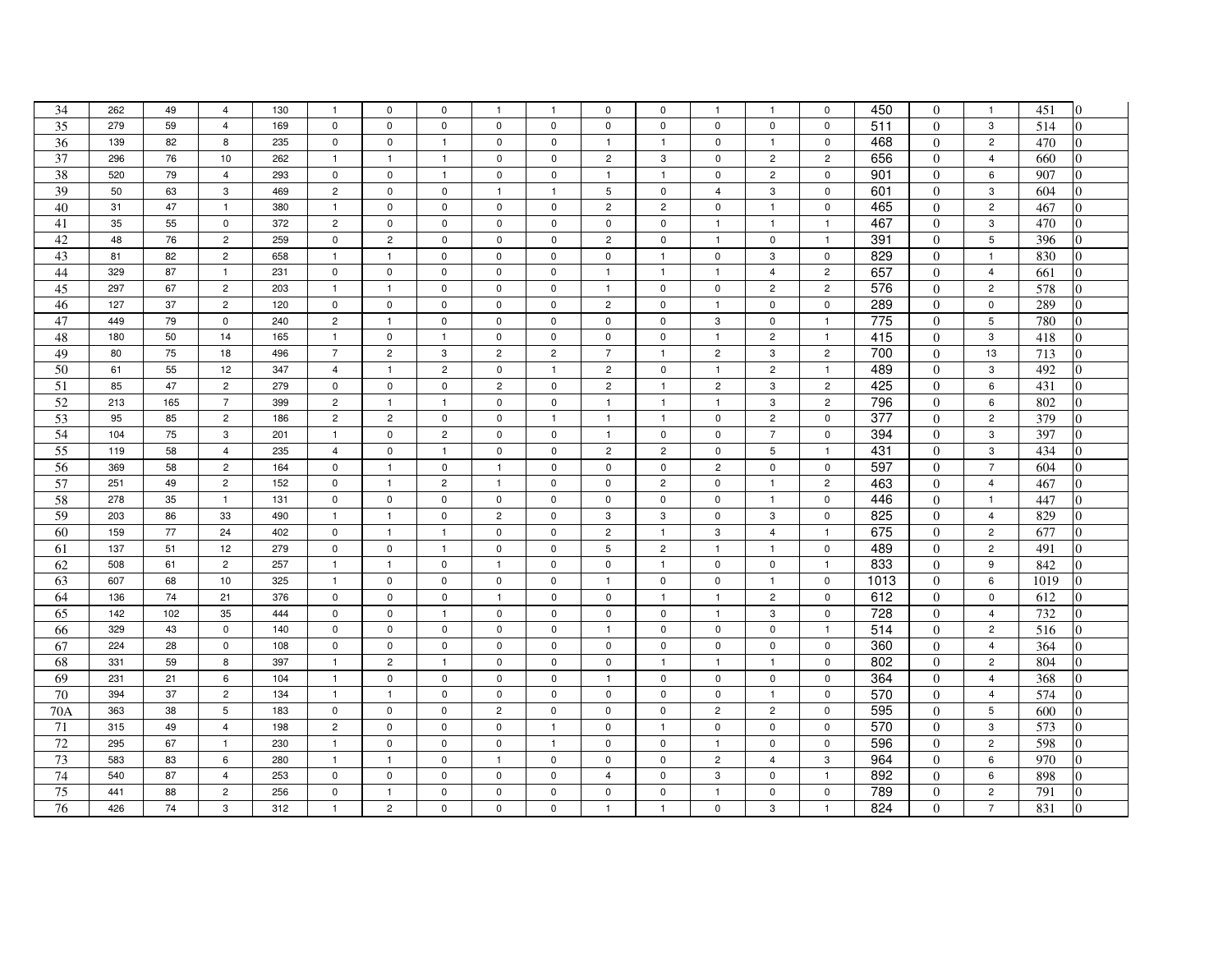| 34              | 262 | 49  | $\overline{4}$ | 130 | $\mathbf{1}$   | $\mathsf 0$    | $\mathbf 0$    | $\mathbf{1}$   | $\overline{\mathbf{1}}$ | $\mathbf 0$    | 0              | $\mathbf{1}$   | $\mathbf{1}$   | $\mathbf 0$    | 450             | $\Omega$       | $\overline{1}$  | 451<br>$\overline{0}$ |
|-----------------|-----|-----|----------------|-----|----------------|----------------|----------------|----------------|-------------------------|----------------|----------------|----------------|----------------|----------------|-----------------|----------------|-----------------|-----------------------|
| 35              | 279 | 59  | $\overline{4}$ | 169 | $\mathbf 0$    | $\mathbf 0$    | $\mathbf 0$    | $\mathbf 0$    | $\mathbf 0$             | $\mathbf 0$    | $\mathbf 0$    | $\mathbf 0$    | 0              | $\mathbf 0$    | 511             | $\Omega$       | 3               | 514                   |
| 36              | 139 | 82  | 8              | 235 | $\mathsf 0$    | $\mathsf 0$    | $\mathbf{1}$   | $\mathbf 0$    | $\mathsf 0$             | $\mathbf{1}$   | $\mathbf{1}$   | $\mathsf 0$    | $\mathbf{1}$   | $\mathsf 0$    | 468             | $\overline{0}$ | $\overline{c}$  | 470                   |
| 37              | 296 | 76  | 10             | 262 | $\overline{1}$ | $\overline{1}$ | $\overline{1}$ | $\mathbf 0$    | $\mathbf 0$             | $\overline{c}$ | 3              | $\mathbf 0$    | $\overline{c}$ | $\overline{c}$ | 656             | $\Omega$       | $\overline{4}$  | 660                   |
| 38              | 520 | 79  | $\overline{4}$ | 293 | $\mathbf 0$    | $\mathbf 0$    | $\overline{1}$ | $\mathbf 0$    | $\mathbf 0$             | $\mathbf{1}$   | $\mathbf{1}$   | $\mathbf 0$    | $\overline{c}$ | $\mathbf 0$    | 901             | $\Omega$       | 6               | 907<br>0              |
| 39              | 50  | 63  | 3              | 469 | $\overline{c}$ | $\mathbf 0$    | $\mathbf 0$    | $\mathbf{1}$   | $\mathbf{1}$            | 5              | $\mathbf 0$    | 4              | 3              | $\mathbf 0$    | 601             | $\Omega$       | 3               | 604<br>0              |
| 40              | 31  | 47  | $\mathbf{1}$   | 380 | $\mathbf{1}$   | $\pmb{0}$      | $\mathbf 0$    | $\mathbf 0$    | $\mathbf 0$             | $\overline{c}$ | $\overline{c}$ | $\mathsf 0$    | $\mathbf{1}$   | $\mathsf 0$    | 465             | $\overline{0}$ | $\sqrt{2}$      | $\overline{0}$<br>467 |
| 41              | 35  | 55  | $\mathbf 0$    | 372 | $\overline{c}$ | $\mathsf 0$    | $\mathsf 0$    | $\mathbf 0$    | $\mathbf 0$             | $\mathbf 0$    | $\mathbf 0$    | $\mathbf{1}$   | $\mathbf{1}$   | $\mathbf{1}$   | 467             | $\overline{0}$ | 3               | 470<br>$\Omega$       |
| 42              | 48  | 76  | $\overline{2}$ | 259 | $\mathsf 0$    | $\overline{2}$ | $\mathsf 0$    | $\mathsf 0$    | $\mathbf 0$             | $\overline{c}$ | $\mathsf 0$    | $\mathbf{1}$   | $\mathsf 0$    | $\mathbf{1}$   | 391             | $\theta$       | 5               | 396                   |
| 43              | 81  | 82  | $\overline{2}$ | 658 | $\mathbf{1}$   | $\mathbf{1}$   | $\mathsf 0$    | $\mathbf 0$    | 0                       | $\mathsf 0$    | $\mathbf{1}$   | $\mathbf 0$    | $\mathbf 3$    | $\mathbf 0$    | 829             | $\overline{0}$ | $\overline{1}$  | 830<br>$\Omega$       |
| 44              | 329 | 87  | $\mathbf{1}$   | 231 | $\pmb{0}$      | $\pmb{0}$      | $\mathsf 0$    | $\mathsf{O}$   | $\mathbf 0$             | $\overline{1}$ | $\mathbf{1}$   | $\mathbf{1}$   | $\overline{4}$ | $\overline{c}$ | 657             | $\overline{0}$ | $\overline{4}$  | $\Omega$<br>661       |
| 45              | 297 | 67  | $\overline{2}$ | 203 | $\mathbf{1}$   | $\mathbf{1}$   | $\pmb{0}$      | $\pmb{0}$      | $\mathbf 0$             | $\mathbf{1}$   | $\mathsf 0$    | $\mathbf 0$    | $\overline{c}$ | $\overline{2}$ | 576             | $\Omega$       | $\sqrt{2}$      | 578<br>0              |
| 46              | 127 | 37  | $\overline{2}$ | 120 | $\pmb{0}$      | $\mathbf 0$    | $\mathsf 0$    | 0              | $\mathbf 0$             | $\overline{2}$ | $\mathbf 0$    | $\mathbf{1}$   | $\mathbf 0$    | $\mathbf 0$    | 289             | $\overline{0}$ | 0               | 289                   |
| 47              | 449 | 79  | $\mathsf 0$    | 240 | $\sqrt{2}$     | $\overline{1}$ | $\pmb{0}$      | $\mathbf{0}$   | $\mathbf 0$             | $\mathbf 0$    | $\mathbf 0$    | 3              | $\mathbf 0$    | $\mathbf{1}$   | $\frac{1}{775}$ | $\overline{0}$ | 5               | $\Omega$<br>780       |
| 48              | 180 | 50  | 14             | 165 | $\mathbf{1}$   | $\mathsf 0$    | $\mathbf{1}$   | $\mathbf 0$    | $\mathbf 0$             | $\mathbf 0$    | $\mathbf 0$    | $\mathbf{1}$   | $\overline{c}$ | $\mathbf{1}$   | 415             | $\Omega$       | 3               | 418                   |
| 49              | 80  | 75  | 18             | 496 | $\overline{7}$ | $\overline{2}$ | 3              | $\overline{2}$ | $\overline{c}$          | $\overline{7}$ | $\mathbf{1}$   | $\overline{2}$ | 3              | $\overline{2}$ | 700             | $\overline{0}$ | 13              | 713<br>$\Omega$       |
| 50              | 61  | 55  | 12             | 347 | $\overline{4}$ | $\overline{1}$ | $\overline{2}$ | $\mathbf 0$    | $\mathbf{1}$            | $\overline{c}$ | 0              | $\mathbf{1}$   | $\overline{c}$ | $\mathbf{1}$   | 489             | $\Omega$       | 3               | 492                   |
| 51              | 85  | 47  | $\overline{2}$ | 279 | $\mathsf 0$    | $\mathsf 0$    | $\mathsf 0$    | $\overline{2}$ | $\mathbf 0$             | $\overline{c}$ | $\mathbf{1}$   | $\overline{c}$ | 3              | $\overline{c}$ | 425             | $\Omega$       | 6               | $\overline{0}$<br>431 |
| $\overline{52}$ | 213 | 165 | $\overline{7}$ | 399 | $\overline{2}$ | $\overline{1}$ | $\mathbf{1}$   | $\mathbf{0}$   | $\mathbf 0$             | $\overline{1}$ | $\mathbf{1}$   | $\overline{1}$ | 3              | $\overline{2}$ | 796             | $\overline{0}$ | 6               | 802<br>$\overline{0}$ |
| 53              | 95  | 85  | $\overline{2}$ | 186 | $\overline{c}$ | $\overline{2}$ | $\mathsf 0$    | $\mathbf 0$    | $\mathbf{1}$            | $\overline{1}$ | $\mathbf{1}$   | $\mathbf 0$    | $\mathbf 2$    | $\mathsf 0$    | 377             | $\theta$       | $\overline{c}$  | 379<br>$\Omega$       |
| $\overline{54}$ | 104 | 75  | 3              | 201 | $\mathbf{1}$   | $\mathsf 0$    | $\sqrt{2}$     | $\mathsf 0$    | $\mathbf 0$             | $\mathbf{1}$   | $\mathbf 0$    | $\mathsf 0$    | $\overline{7}$ | $\mathsf 0$    | 394             | $\overline{0}$ | $\mathsf 3$     | 397<br>$\Omega$       |
| $\overline{55}$ | 119 | 58  | $\overline{4}$ | 235 | $\overline{4}$ | $\mathsf 0$    | $\mathbf{1}$   | $\mathbf 0$    | $\mathsf 0$             | $\overline{2}$ | $\overline{2}$ | $\mathsf 0$    | 5              | $\mathbf{1}$   | 431             | $\overline{0}$ | 3               | 434<br>$\Omega$       |
| $\overline{56}$ | 369 | 58  | $\overline{2}$ | 164 | $\mathsf 0$    | $\overline{1}$ | $\mathsf 0$    | $\overline{1}$ | $\mathsf 0$             | $\mathsf 0$    | $\mathsf 0$    | $\overline{c}$ | $\mathsf 0$    | $\mathsf 0$    | 597             | $\Omega$       | $\overline{7}$  | 604<br>0              |
| 57              | 251 | 49  | $\overline{2}$ | 152 | $\mathbf 0$    | $\mathbf{1}$   | $\overline{2}$ | $\mathbf{1}$   | $\mathbf 0$             | 0              | $\overline{2}$ | 0              | $\mathbf{1}$   | $\overline{c}$ | 463             | $\overline{0}$ | 4               | 467<br>$\Omega$       |
| 58              | 278 | 35  | $\overline{1}$ | 131 | $\pmb{0}$      | $\mathbf 0$    | $\pmb{0}$      | $\mathsf 0$    | $\mathsf 0$             | 0              | $\mathsf 0$    | $\mathbf 0$    | $\mathbf{1}$   | $\mathbf 0$    | 446             | $\overline{0}$ | $\overline{1}$  | 447<br>$\Omega$       |
| 59              | 203 | 86  | 33             | 490 | $\mathbf{1}$   | $\mathbf{1}$   | $\mathsf 0$    | $\overline{c}$ | $\mathbf 0$             | 3              | 3              | $\mathbf 0$    | $\mathbf 3$    | $\mathbf 0$    | 825             | $\Omega$       | $\overline{4}$  | 829<br>0              |
| 60              | 159 | 77  | 24             | 402 | $\pmb{0}$      | $\overline{1}$ | $\mathbf{1}$   | $\mathbf{0}$   | $\mathbf 0$             | $\overline{2}$ | $\mathbf{1}$   | 3              | $\overline{4}$ | $\mathbf{1}$   | 675             | $\Omega$       | $\overline{2}$  | 677<br>$\Omega$       |
| 61              | 137 | 51  | 12             | 279 | $\mathbf 0$    | $\mathsf 0$    | $\mathbf{1}$   | $\mathbf 0$    | $\mathbf 0$             | 5              | $\overline{c}$ | $\mathbf{1}$   | $\mathbf{1}$   | $\mathbf 0$    | 489             | $\Omega$       | $\overline{c}$  | 491<br>$\Omega$       |
| 62              | 508 | 61  | $\overline{2}$ | 257 | $\mathbf{1}$   | $\mathbf{1}$   | $\mathsf 0$    | $\mathbf{1}$   | $\mathsf 0$             | $\mathsf 0$    | $\mathbf{1}$   | $\mathbf 0$    | $\mathbf 0$    | $\mathbf{1}$   | 833             | $\overline{0}$ | 9               | 842<br>$\Omega$       |
| 63              | 607 | 68  | 10             | 325 | $\mathbf{1}$   | $\mathbf 0$    | $\mathbf 0$    | $\mathbf{0}$   | $\mathbf 0$             | $\overline{1}$ | $\mathbf 0$    | $\mathbf 0$    | $\mathbf{1}$   | $\mathbf 0$    | 1013            | $\overline{0}$ | 6               | 1019<br>$\Omega$      |
| 64              | 136 | 74  | 21             | 376 | $\mathsf 0$    | $\mathsf 0$    | $\mathbf 0$    | $\mathbf{1}$   | $\mathbf 0$             | $\mathbf 0$    | $\mathbf{1}$   | $\mathbf{1}$   | $\overline{c}$ | $\mathsf 0$    | 612             | $\theta$       | $\mathbf 0$     | 612<br>$\Omega$       |
| 65              | 142 | 102 | 35             | 444 | $\mathbf 0$    | $\mathbf 0$    | $\mathbf{1}$   | $\mathbf 0$    | 0                       | 0              | $\mathbf 0$    | $\mathbf{1}$   | 3              | $\mathsf 0$    | 728             | $\overline{0}$ | $\overline{4}$  | 732                   |
| 66              | 329 | 43  | $\mathbf 0$    | 140 | $\mathsf 0$    | $\mathsf 0$    | $\mathsf 0$    | $\mathbf 0$    | $\mathsf 0$             | $\mathbf{1}$   | $\mathbf 0$    | $\mathbf 0$    | $\mathsf 0$    | $\mathbf{1}$   | 514             | $\overline{0}$ | $\overline{c}$  | 516<br>$\overline{0}$ |
| 67              | 224 | 28  | $\mathbf 0$    | 108 | $\mathsf 0$    | $\mathsf 0$    | $\mathbf 0$    | $\mathsf 0$    | $\mathbf 0$             | $\mathbf 0$    | $\mathbf 0$    | $\mathbf 0$    | $\mathsf 0$    | $\mathsf 0$    | 360             | $\Omega$       | $\overline{4}$  | 364                   |
| 68              | 331 | 59  | 8              | 397 | $\mathbf{1}$   | $\overline{2}$ | $\mathbf{1}$   | $\mathbf 0$    | $\mathbf 0$             | $\mathsf 0$    | $\mathbf{1}$   | $\mathbf{1}$   | $\mathbf{1}$   | $\mathbf 0$    | 802             | $\overline{0}$ | $\overline{2}$  | 804<br>$\Omega$       |
| 69              | 231 | 21  | 6              | 104 | $\mathbf{1}$   | $\pmb{0}$      | $\mathbf 0$    | $\mathsf 0$    | $\mathbf 0$             | $\mathbf{1}$   | 0              | $\mathsf 0$    | $\mathsf 0$    | $\mathsf 0$    | 364             | $\overline{0}$ | $\overline{4}$  | 368<br>$\overline{0}$ |
| $\overline{70}$ | 394 | 37  | $\overline{2}$ | 134 | $\overline{1}$ | $\overline{1}$ | $\mathbf 0$    | $\mathbf 0$    | $\mathbf 0$             | 0              | $\mathbf 0$    | $\mathsf 0$    | $\mathbf{1}$   | $\mathsf 0$    | 570             | $\overline{0}$ | $\overline{4}$  | $\overline{0}$<br>574 |
| 70A             | 363 | 38  | 5              | 183 | $\pmb{0}$      | $\mathbf 0$    | $\mathsf 0$    | $\overline{2}$ | $\mathsf 0$             | $\mathbf 0$    | $\mathbf 0$    | $\overline{2}$ | $\overline{c}$ | $\mathsf 0$    | 595             | $\overline{0}$ | $5\phantom{.0}$ | 600<br>$\Omega$       |
| 71              | 315 | 49  | $\overline{4}$ | 198 | $\overline{c}$ | $\mathsf 0$    | $\mathbf 0$    | $\mathbf 0$    | $\mathbf{1}$            | $\mathbf 0$    | $\mathbf{1}$   | $\mathbf 0$    | 0              | $\mathbf 0$    | 570             | $\Omega$       | 3               | 573<br>$\Omega$       |
| 72              | 295 | 67  | $\mathbf{1}$   | 230 | $\mathbf{1}$   | $\mathsf 0$    | $\mathsf 0$    | $\mathbf 0$    | $\mathbf{1}$            | $\mathbf 0$    | $\mathbf 0$    | $\mathbf{1}$   | $\mathbf 0$    | $\mathbf 0$    | 596             | $\overline{0}$ | $\overline{c}$  | $\Omega$<br>598       |
| 73              | 583 | 83  | 6              | 280 | $\mathbf{1}$   | $\mathbf{1}$   | $\mathbf 0$    | $\overline{1}$ | $\mathbf 0$             | $\mathbf 0$    | $\mathbf 0$    | $\overline{2}$ | $\overline{4}$ | $\mathbf{3}$   | 964             | $\overline{0}$ | 6               | 970<br>$\Omega$       |
| 74              | 540 | 87  | $\overline{4}$ | 253 | $\mathbf 0$    | $\mathsf 0$    | $\pmb{0}$      | $\mathbf 0$    | $\mathbf 0$             | $\overline{4}$ | 0              | 3              | $\mathbf 0$    | $\mathbf{1}$   | 892             | $\Omega$       | 6               | 898<br>0              |
| 75              | 441 | 88  | $\overline{2}$ | 256 | $\mathbf 0$    | $\mathbf{1}$   | $\mathbf 0$    | 0              | 0                       | 0              | 0              | $\mathbf{1}$   | 0              | 0              | 789             | $\overline{0}$ | $\overline{c}$  | 791                   |
| 76              | 426 | 74  | 3              | 312 | $\mathbf{1}$   | $\overline{2}$ | $\pmb{0}$      | $\mathbf 0$    | $\Omega$                | $\mathbf{1}$   | $\mathbf{1}$   | $\mathbf 0$    | $\mathbf{3}$   | $\mathbf{1}$   | 824             | $\overline{0}$ | $\overline{7}$  | 831<br>$\overline{0}$ |
|                 |     |     |                |     |                |                |                |                |                         |                |                |                |                |                |                 |                |                 |                       |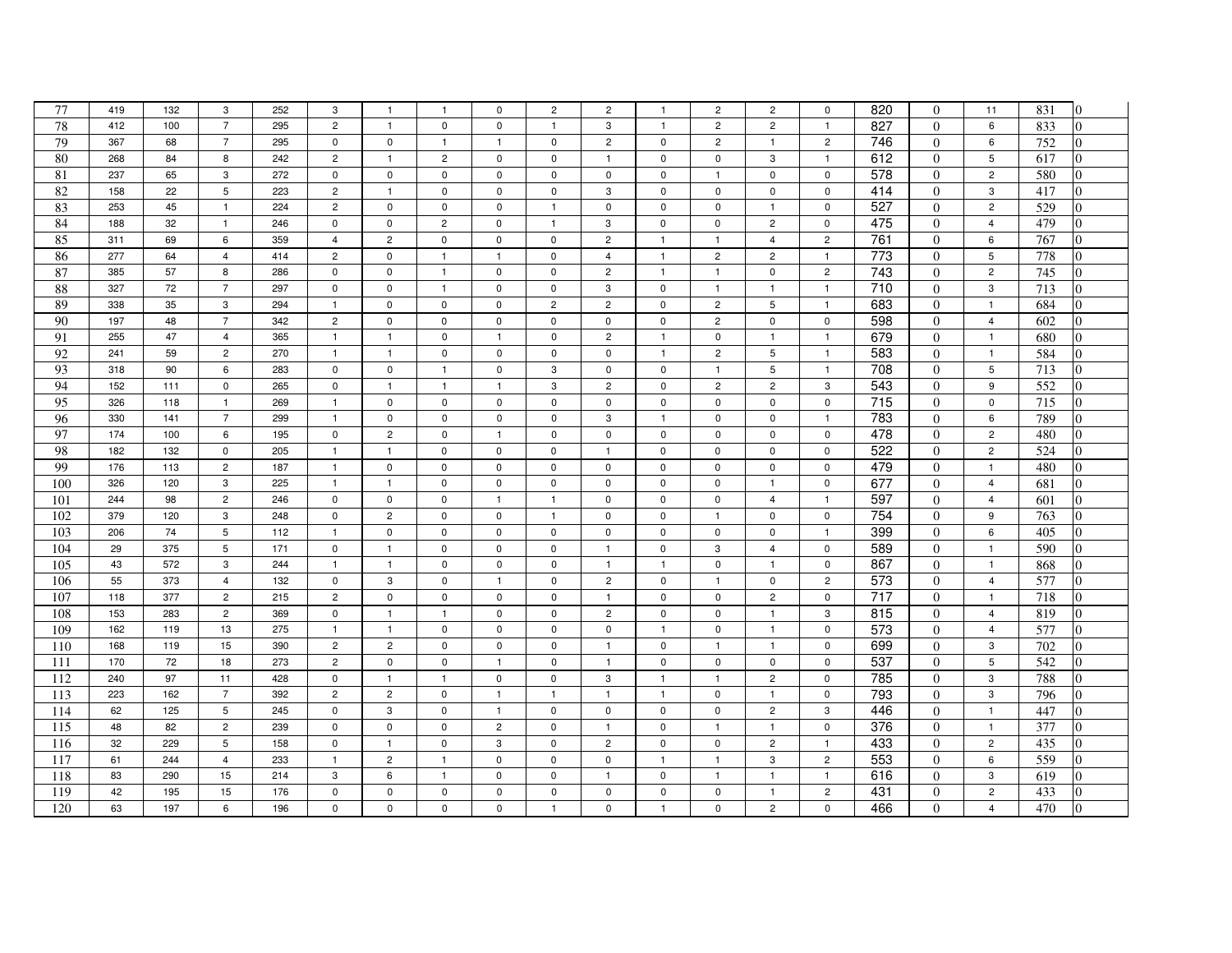| 77              | 419 | 132 | 3              | 252 | 3              | $\overline{1}$ | $\mathbf{1}$   | 0              | $\overline{c}$ | $\overline{c}$ | $\mathbf{1}$ | $\overline{c}$ | $\overline{c}$ | $\mathsf 0$    | 820              | $\Omega$       | 11               | 831<br>0              |
|-----------------|-----|-----|----------------|-----|----------------|----------------|----------------|----------------|----------------|----------------|--------------|----------------|----------------|----------------|------------------|----------------|------------------|-----------------------|
| 78              | 412 | 100 | $\overline{7}$ | 295 | $\overline{c}$ | $\overline{1}$ | $\mathbf 0$    | $\mathbf 0$    | $\overline{1}$ | 3              | $\mathbf{1}$ | $\overline{2}$ | $\overline{c}$ | $\mathbf{1}$   | 827              | $\Omega$       | 6                | 833                   |
| 79              | 367 | 68  | $\overline{7}$ | 295 | $\mathsf 0$    | $\mathsf 0$    | $\mathbf{1}$   | $\mathbf{1}$   | $\pmb{0}$      | $\overline{2}$ | $\mathbf 0$  | $\overline{2}$ | $\mathbf{1}$   | $\overline{2}$ | 746              | $\overline{0}$ | $\boldsymbol{6}$ | 752                   |
| 80              | 268 | 84  | 8              | 242 | $\overline{c}$ | $\overline{1}$ | $\overline{c}$ | $\mathbf 0$    | $\mathbf 0$    | $\mathbf{1}$   | $\mathbf 0$  | $\mathbf 0$    | 3              | $\mathbf{1}$   | 612              | $\Omega$       | 5                | 617                   |
| 81              | 237 | 65  | 3              | 272 | $\mathsf 0$    | $\mathbf 0$    | $\mathbf 0$    | $\mathbf 0$    | $\mathbf 0$    | $\mathbf 0$    | $\mathbf 0$  | $\mathbf{1}$   | $\mathbf 0$    | $\mathbf 0$    | 578              | $\Omega$       | $\overline{2}$   | 580<br>0              |
| 82              | 158 | 22  | 5              | 223 | $\overline{c}$ | $\mathbf{1}$   | $\mathbf 0$    | $\mathbf 0$    | $\mathbf 0$    | 3              | $\mathbf 0$  | $\mathbf 0$    | 0              | 0              | 414              | $\Omega$       | 3                | 417                   |
| 83              | 253 | 45  | $\mathbf{1}$   | 224 | $\overline{c}$ | $\pmb{0}$      | $\mathsf 0$    | $\mathbf 0$    | $\overline{1}$ | $\mathbf 0$    | $\mathbf 0$  | $\mathsf 0$    | $\mathbf{1}$   | $\mathsf 0$    | 527              | $\overline{0}$ | $\sqrt{2}$       | 529<br>$\Omega$       |
| 84              | 188 | 32  | $\overline{1}$ | 246 | $\mathbf 0$    | $\mathbf 0$    | $\overline{c}$ | $\mathbf 0$    | $\mathbf{1}$   | 3              | $\mathbf 0$  | $\mathbf 0$    | $\overline{c}$ | $\mathsf 0$    | 475              | $\overline{0}$ | $\overline{4}$   | 479<br>$\Omega$       |
| 85              | 311 | 69  | 6              | 359 | $\overline{4}$ | $\overline{c}$ | $\pmb{0}$      | $\mathsf 0$    | $\mathbf 0$    | $\overline{c}$ | $\mathbf{1}$ | $\mathbf{1}$   | $\overline{4}$ | $\overline{c}$ | 761              | $\Omega$       | 6                | 767                   |
| 86              | 277 | 64  | $\overline{4}$ | 414 | $\sqrt{2}$     | $\pmb{0}$      | $\mathbf{1}$   | $\overline{1}$ | $\mathsf 0$    | $\overline{4}$ | $\mathbf{1}$ | $\overline{c}$ | $\overline{c}$ | $\overline{1}$ | $\frac{1}{773}$  | $\overline{0}$ | $\,$ 5 $\,$      | 778<br>$\Omega$       |
| 87              | 385 | 57  | 8              | 286 | $\pmb{0}$      | $\mathbf 0$    | $\mathbf{1}$   | $\mathbf 0$    | $\mathbf 0$    | $\overline{2}$ | $\mathbf{1}$ | $\mathbf{1}$   | $\mathbf 0$    | $\overline{c}$ | $\frac{1}{743}$  | $\overline{0}$ | $\overline{2}$   | 745<br>$\Omega$       |
| 88              | 327 | 72  | $\overline{7}$ | 297 | $\pmb{0}$      | $\pmb{0}$      | $\mathbf{1}$   | $\mathsf 0$    | $\mathsf 0$    | 3              | $\mathbf 0$  | $\mathbf{1}$   | $\mathbf{1}$   | $\mathbf{1}$   | $\overline{710}$ | $\Omega$       | 3                | 713                   |
| 89              | 338 | 35  | 3              | 294 | $\mathbf{1}$   | $\pmb{0}$      | $\mathbf 0$    | $\mathbf 0$    | $\overline{c}$ | $\overline{2}$ | $\mathbf 0$  | $\overline{2}$ | 5              | $\overline{1}$ | 683              | $\overline{0}$ | $\overline{1}$   | 684                   |
| 90              | 197 | 48  | $\overline{7}$ | 342 | $\overline{c}$ | $\mathbf 0$    | $\mathbf 0$    | $\mathbf 0$    | $\mathbf 0$    | $\mathbf{0}$   | $\mathbf 0$  | $\overline{2}$ | $\mathbf 0$    | $\mathbf 0$    | 598              | $\overline{0}$ | $\overline{4}$   | 602<br>$\Omega$       |
| 91              | 255 | 47  | $\overline{4}$ | 365 | $\mathbf{1}$   | $\overline{1}$ | $\mathbf 0$    | $\mathbf{1}$   | $\Omega$       | $\overline{c}$ | $\mathbf{1}$ | $\mathbf 0$    | $\mathbf{1}$   | $\mathbf{1}$   | 679              | $\Omega$       | $\overline{1}$   | 680                   |
| 92              | 241 | 59  | $\overline{2}$ | 270 | $\overline{1}$ | $\overline{1}$ | $\mathbf 0$    | $\mathbf 0$    | $\mathbf 0$    | $\mathbf 0$    | $\mathbf{1}$ | $\overline{2}$ | 5              | $\mathbf{1}$   | 583              | $\overline{0}$ | $\overline{1}$   | 584                   |
| 93              | 318 | 90  | 6              | 283 | $\mathbf 0$    | $\mathbf 0$    | $\mathbf{1}$   | $\mathbf 0$    | 3              | $\mathbf 0$    | $\mathbf 0$  | $\mathbf{1}$   | 5              | $\mathbf{1}$   | 708              | $\Omega$       | 5                | 713                   |
| 94              | 152 | 111 | $\mathbf 0$    | 265 | $\pmb{0}$      | $\overline{1}$ | $\mathbf{1}$   | $\mathbf{1}$   | 3              | $\overline{c}$ | $\mathbf 0$  | $\overline{c}$ | $\overline{c}$ | 3              | 543              | $\Omega$       | 9                | 552<br>$\overline{0}$ |
| $\overline{95}$ | 326 | 118 | $\mathbf{1}$   | 269 | $\mathbf{1}$   | $\mathbf 0$    | $\mathbf 0$    | $\mathbf 0$    | $\mathbf 0$    | $\mathbf 0$    | $\mathbf 0$  | $\mathbf 0$    | $\mathbf 0$    | $\mathbf 0$    | 715              | $\overline{0}$ | $\mathbf 0$      | 715<br>$\Omega$       |
| 96              | 330 | 141 | $\overline{7}$ | 299 | $\overline{1}$ | $\mathbf 0$    | $\pmb{0}$      | 0              | $\mathbf 0$    | 3              | $\mathbf{1}$ | $\mathbf 0$    | $\mathsf 0$    | $\mathbf{1}$   | 783              | $\overline{0}$ | 6                | 789<br>$\Omega$       |
| 97              | 174 | 100 | 6              | 195 | $\pmb{0}$      | $\overline{c}$ | $\pmb{0}$      | $\mathbf{1}$   | $\mathsf 0$    | $\mathbf 0$    | $\mathsf 0$  | $\mathsf 0$    | $\mathsf 0$    | $\mathsf 0$    | 478              | $\overline{0}$ | $\overline{c}$   | $\Omega$<br>480       |
| 98              | 182 | 132 | $\mathbf 0$    | 205 | $\mathbf{1}$   | $\mathbf{1}$   | $\pmb{0}$      | $\mathbf 0$    | $\mathsf 0$    | $\mathbf{1}$   | $\mathbf 0$  | $\mathbf 0$    | $\mathsf 0$    | $\mathsf 0$    | 522              | $\mathbf{0}$   | $\overline{c}$   | 524<br>$\Omega$       |
| 99              | 176 | 113 | $\overline{2}$ | 187 | $\mathbf{1}$   | $\mathbf 0$    | $\mathsf 0$    | $\mathsf 0$    | $\mathsf 0$    | $\mathbf 0$    | $\mathbf 0$  | $\mathbf 0$    | $\mathsf 0$    | $\mathsf 0$    | 479              | $\Omega$       | $\overline{1}$   | 480<br>$\Omega$       |
| 100             | 326 | 120 | 3              | 225 | $\mathbf{1}$   | $\mathbf{1}$   | $\mathbf 0$    | $\mathbf 0$    | $\mathbf 0$    | $\mathbf 0$    | $\mathbf 0$  | 0              | $\mathbf{1}$   | $\mathbf 0$    | 677              | $\overline{0}$ | $\overline{4}$   | 681<br>0              |
| 101             | 244 | 98  | $\overline{2}$ | 246 | $\pmb{0}$      | $\mathbf 0$    | $\pmb{0}$      | $\mathbf{1}$   | $\mathbf{1}$   | $\mathbf 0$    | $\mathsf 0$  | 0              | $\overline{4}$ | $\mathbf{1}$   | 597              | $\overline{0}$ | $\overline{4}$   | $\Omega$<br>601       |
| 102             | 379 | 120 | 3              | 248 | $\pmb{0}$      | $\overline{c}$ | $\pmb{0}$      | $\mathbf 0$    | $\mathbf{1}$   | $\mathsf 0$    | 0            | $\mathbf{1}$   | $\Omega$       | $\mathbf 0$    | 754              | $\overline{0}$ | 9                | 763<br>0              |
| 103             | 206 | 74  | 5              | 112 | $\mathbf{1}$   | $\mathbf 0$    | $\mathbf 0$    | $\mathbf 0$    | $\mathbf 0$    | $\mathbf 0$    | $\mathbf 0$  | $\mathbf 0$    | $\mathbf 0$    | $\mathbf{1}$   | 399              | $\Omega$       | 6                | 405<br>0              |
| 104             | 29  | 375 | 5              | 171 | $\mathbf 0$    | $\mathbf{1}$   | $\pmb{0}$      | $\mathbf 0$    | $\mathbf 0$    | $\mathbf{1}$   | 0            | 3              | $\overline{4}$ | $\mathbf 0$    | 589              | $\Omega$       | $\overline{1}$   | 590                   |
| 105             | 43  | 572 | 3              | 244 | $\mathbf{1}$   | $\overline{1}$ | $\mathbf 0$    | 0              | 0              | $\mathbf{1}$   | $\mathbf{1}$ | $\mathbf 0$    | $\mathbf{1}$   | $\mathsf 0$    | 867              | $\overline{0}$ | $\overline{1}$   | 868<br>$\Omega$       |
| 106             | 55  | 373 | $\overline{4}$ | 132 | $\mathbf 0$    | 3              | $\mathbf 0$    | $\mathbf{1}$   | $\mathbf 0$    | $\overline{2}$ | $\mathbf 0$  | $\mathbf{1}$   | $\mathbf 0$    | $\overline{2}$ | 573              | $\overline{0}$ | $\overline{4}$   | 577                   |
| 107             | 118 | 377 | $\overline{2}$ | 215 | $\overline{c}$ | $\mathsf 0$    | $\mathbf 0$    | $\mathbf 0$    | $\mathbf 0$    | $\mathbf{1}$   | $\mathbf 0$  | $\mathbf 0$    | $\overline{c}$ | $\mathbf 0$    | 717              | $\Omega$       | $\overline{1}$   | 718                   |
| 108             | 153 | 283 | $\overline{2}$ | 369 | $\mathbf 0$    | $\mathbf{1}$   | $\mathbf{1}$   | $\mathbf 0$    | 0              | $\overline{2}$ | $\mathbf 0$  | $\mathbf 0$    | $\mathbf{1}$   | 3              | 815              | $\overline{0}$ | $\overline{4}$   | 819                   |
| 109             | 162 | 119 | 13             | 275 | $\mathbf{1}$   | $\overline{1}$ | $\mathbf 0$    | $\mathbf 0$    | $\mathbf 0$    | $\mathbf 0$    | $\mathbf{1}$ | $\mathbf 0$    | $\mathbf{1}$   | $\mathsf 0$    | 573              | $\overline{0}$ | $\overline{4}$   | 577<br>$\Omega$       |
| 110             | 168 | 119 | 15             | 390 | $\overline{c}$ | $\overline{c}$ | $\pmb{0}$      | $\mathbf 0$    | $\mathbf 0$    | $\mathbf{1}$   | $\mathbf 0$  | $\mathbf{1}$   | $\mathbf{1}$   | $\mathsf 0$    | 699              | $\Omega$       | 3                | 702                   |
| 111             | 170 | 72  | 18             | 273 | $\overline{c}$ | $\mathbf 0$    | $\mathbf 0$    | $\mathbf{1}$   | $\mathbf 0$    | $\mathbf{1}$   | $\mathbf 0$  | $\mathbf 0$    | $\mathsf 0$    | $\mathsf 0$    | 537              | $\overline{0}$ | 5                | 542<br>0              |
| 112             | 240 | 97  | 11             | 428 | $\pmb{0}$      | $\mathbf{1}$   | $\mathbf{1}$   | $\mathbf 0$    | $\mathbf 0$    | 3              | $\mathbf{1}$ | $\mathbf{1}$   | $\overline{c}$ | $\mathbf 0$    | 785              | $\overline{0}$ | 3                | 788<br>0              |
| 113             | 223 | 162 | $\overline{7}$ | 392 | $\overline{c}$ | $\overline{c}$ | $\mathbf 0$    | $\overline{1}$ | $\mathbf{1}$   | $\mathbf{1}$   | $\mathbf{1}$ | $\mathbf 0$    | $\mathbf{1}$   | $\mathbf 0$    | 793              | $\overline{0}$ | 3                | $\overline{0}$<br>796 |
| 114             | 62  | 125 | 5              | 245 | $\mathbf 0$    | 3              | $\mathsf 0$    | $\overline{1}$ | $\mathsf 0$    | $\mathbf 0$    | $\mathsf{O}$ | $\mathsf 0$    | $\overline{c}$ | 3              | 446              | $\overline{0}$ | $\overline{1}$   | 447<br>$\Omega$       |
| 115             | 48  | 82  | $\overline{2}$ | 239 | $\pmb{0}$      | $\mathbf 0$    | $\mathbf 0$    | $\overline{c}$ | $\mathbf 0$    | $\overline{1}$ | $\mathbf 0$  | $\mathbf{1}$   | $\mathbf{1}$   | $\mathbf 0$    | 376              | $\Omega$       | $\overline{1}$   | 377<br>$\Omega$       |
| 116             | 32  | 229 | 5              | 158 | $\mathbf 0$    | $\mathbf{1}$   | $\mathbf 0$    | 3              | $\mathbf 0$    | $\overline{c}$ | $\mathbf 0$  | $\mathbf 0$    | $\overline{c}$ | $\mathbf{1}$   | 433              | $\overline{0}$ | $\overline{c}$   | $\Omega$<br>435       |
| 117             | 61  | 244 | $\overline{4}$ | 233 | $\mathbf{1}$   | $\overline{2}$ | $\mathbf{1}$   | $\mathbf 0$    | $\mathbf 0$    | $\mathbf 0$    | $\mathbf{1}$ | $\overline{1}$ | 3              | $\overline{2}$ | 553              | $\overline{0}$ | 6                | 559                   |
| 118             | 83  | 290 | 15             | 214 | 3              | 6              | $\mathbf{1}$   | $\mathbf 0$    | $\mathbf 0$    | $\mathbf{1}$   | $\mathbf 0$  | $\mathbf{1}$   | $\mathbf{1}$   | $\mathbf{1}$   | 616              | $\Omega$       | 3                | 619                   |
| 119             | 42  | 195 | 15             | 176 | $\mathbf 0$    | $\mathbf 0$    | $\mathbf 0$    | $\mathbf 0$    | 0              | 0              | $\mathbf 0$  | 0              | $\mathbf{1}$   | $\overline{c}$ | 431              | $\theta$       | $\overline{c}$   | 433                   |
| 120             | 63  | 197 | 6              | 196 | $\pmb{0}$      | $\mathsf 0$    | $\pmb{0}$      | $\mathbf 0$    | $\mathbf{1}$   | $\pmb{0}$      | $\mathbf{1}$ | 0              | $\overline{c}$ | $\mathsf 0$    | 466              | $\overline{0}$ | $\overline{4}$   | 470<br>$\Omega$       |
|                 |     |     |                |     |                |                |                |                |                |                |              |                |                |                |                  |                |                  |                       |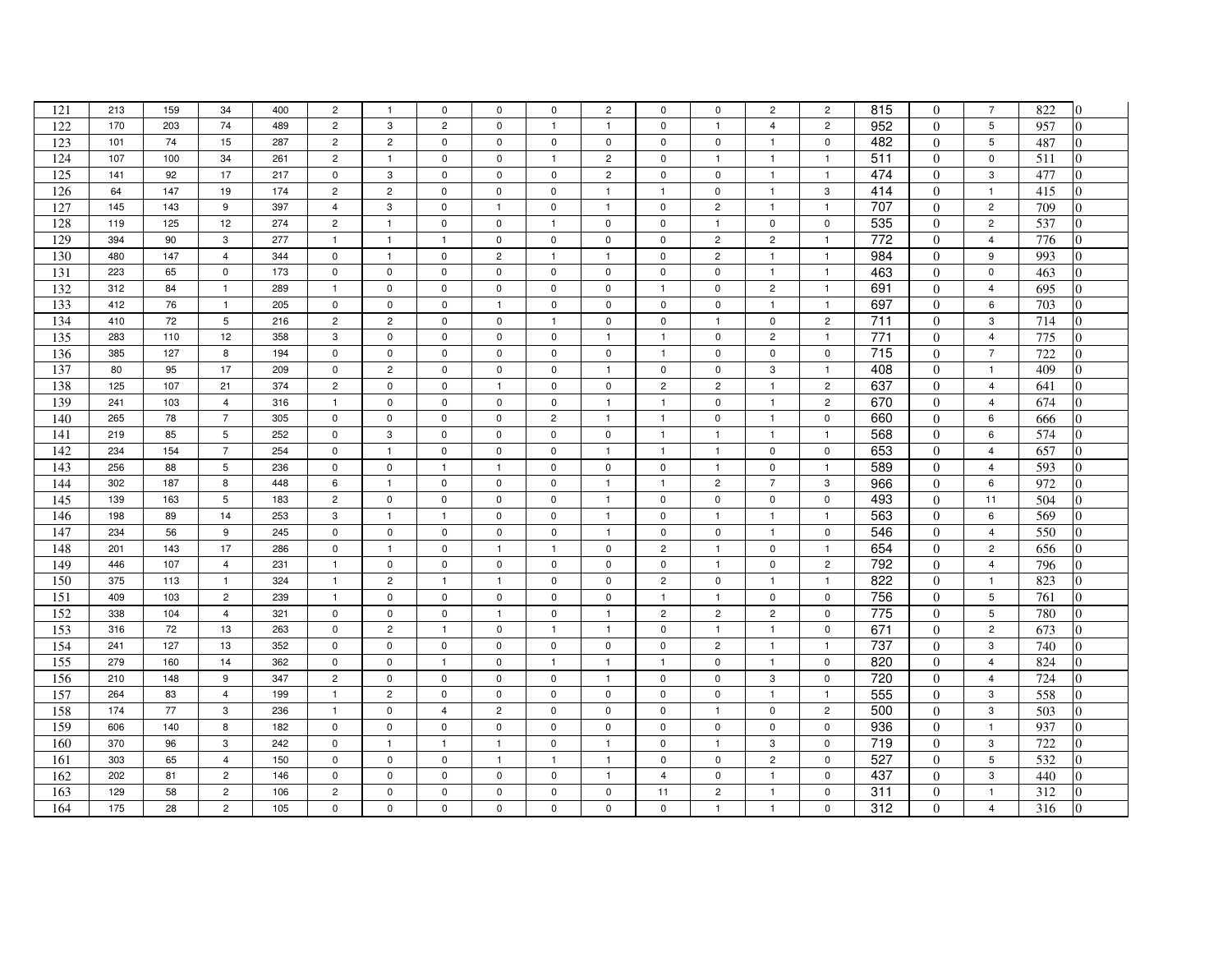| 121 | 213 | 159 | 34              | 400 | $\overline{c}$   | $\mathbf{1}$   | $\mathbf 0$    | $\mathbf 0$    | $\mathbf 0$    | $\overline{c}$ | 0              | $\mathbf 0$    | $\overline{c}$ | $\overline{c}$ | 815             | $\Omega$       | $\overline{7}$ | 822<br>$\overline{0}$ |
|-----|-----|-----|-----------------|-----|------------------|----------------|----------------|----------------|----------------|----------------|----------------|----------------|----------------|----------------|-----------------|----------------|----------------|-----------------------|
| 122 | 170 | 203 | 74              | 489 | $\overline{c}$   | 3              | $\overline{2}$ | $\mathbf 0$    | $\mathbf{1}$   | $\mathbf{1}$   | $\mathbf 0$    | $\mathbf{1}$   | $\overline{4}$ | $\overline{c}$ | 952             | $\Omega$       | 5              | 957<br>$\Omega$       |
| 123 | 101 | 74  | 15              | 287 | $\overline{c}$   | $\overline{2}$ | $\mathsf 0$    | $\mathbf 0$    | $\mathsf 0$    | $\mathsf 0$    | $\mathbf 0$    | $\mathsf 0$    | $\mathbf{1}$   | $\mathsf 0$    | 482             | $\overline{0}$ | $\overline{5}$ | 487                   |
| 124 | 107 | 100 | 34              | 261 | $\overline{c}$   | $\overline{1}$ | $\mathsf 0$    | $\mathbf 0$    | $\mathbf{1}$   | $\overline{c}$ | $\mathbf 0$    | $\mathbf{1}$   | $\mathbf{1}$   | $\mathbf{1}$   | 511             | $\Omega$       | $\mathbf 0$    | 511                   |
| 125 | 141 | 92  | 17              | 217 | $\mathsf 0$      | 3              | $\mathbf 0$    | $\mathbf 0$    | $\mathbf 0$    | $\overline{2}$ | $\mathbf 0$    | $\mathbf 0$    | $\mathbf{1}$   | $\mathbf{1}$   | 474             | $\Omega$       | 3              | 477<br>0              |
| 126 | 64  | 147 | 19              | 174 | $\overline{c}$   | $\overline{2}$ | $\pmb{0}$      | $\mathbf 0$    | $\mathbf 0$    | $\overline{1}$ | $\mathbf{1}$   | $\mathbf 0$    | $\mathbf{1}$   | 3              | 414             | $\Omega$       | $\overline{1}$ | 415                   |
| 127 | 145 | 143 | 9               | 397 | $\overline{4}$   | 3              | $\mathsf 0$    | $\mathbf{1}$   | $\mathbf 0$    | $\mathbf{1}$   | $\mathbf 0$    | $\overline{c}$ | $\mathbf{1}$   | $\mathbf{1}$   | 707             | $\overline{0}$ | $\overline{c}$ | 709<br>$\overline{0}$ |
| 128 | 119 | 125 | 12              | 274 | $\overline{c}$   | $\mathbf{1}$   | $\pmb{0}$      | $\mathbf 0$    | $\mathbf{1}$   | $\mathbf{0}$   | $\mathbf 0$    | $\mathbf{1}$   | $\mathsf 0$    | $\mathbf 0$    | 535             | $\overline{0}$ | $\overline{c}$ | 537<br>$\Omega$       |
| 129 | 394 | 90  | 3               | 277 | $\mathbf{1}$     | $\mathbf{1}$   | $\mathbf{1}$   | $\mathbf 0$    | $\mathbf 0$    | $\mathbf 0$    | $\mathsf 0$    | $\overline{c}$ | $\overline{c}$ | $\mathbf{1}$   | 772             | $\theta$       | $\overline{4}$ | 776                   |
| 130 | 480 | 147 | $\overline{4}$  | 344 | $\mathbf 0$      | $\mathbf{1}$   | $\pmb{0}$      | $\overline{c}$ | $\mathbf{1}$   | $\mathbf{1}$   | $\mathsf 0$    | $\overline{c}$ | $\mathbf{1}$   | $\mathbf{1}$   | 984             | $\overline{0}$ | 9              | 993<br>$\Omega$       |
| 131 | 223 | 65  | $\mathbf 0$     | 173 | $\pmb{0}$        | $\pmb{0}$      | $\pmb{0}$      | $\mathsf{O}$   | $\mathbf 0$    | $\mathbf 0$    | $\mathsf 0$    | $\mathsf{O}$   | $\mathbf{1}$   | $\mathbf{1}$   | 463             | $\overline{0}$ | 0              | 463<br>0              |
| 132 | 312 | 84  | $\mathbf{1}$    | 289 | $\mathbf{1}$     | $\mathsf 0$    | $\pmb{0}$      | $\pmb{0}$      | $\mathbf 0$    | $\mathsf 0$    | $\mathbf{1}$   | $\mathbf 0$    | $\overline{c}$ | $\mathbf{1}$   | 691             | $\Omega$       | $\overline{4}$ | 695<br>$\overline{0}$ |
| 133 | 412 | 76  | $\mathbf{1}$    | 205 | $\mathsf 0$      | $\mathbf 0$    | $\mathsf 0$    | $\mathbf{1}$   | $\mathbf 0$    | $\mathbf 0$    | $\mathbf 0$    | $\mathbf 0$    | $\mathbf{1}$   | $\mathbf{1}$   | 697             | $\overline{0}$ | 6              | 703                   |
| 134 | 410 | 72  | 5               | 216 | $\overline{c}$   | $\overline{2}$ | $\mathbf 0$    | $\mathbf 0$    | $\mathbf{1}$   | $\mathbf 0$    | $\mathbf 0$    | $\mathbf{1}$   | $\mathsf 0$    | $\overline{c}$ | 711             | $\Omega$       | 3              | 714<br>$\Omega$       |
| 135 | 283 | 110 | 12              | 358 | 3                | $\mathsf 0$    | $\mathbf 0$    | $\mathbf 0$    | $\mathbf 0$    | $\mathbf{1}$   | $\mathbf{1}$   | $\mathbf 0$    | $\overline{c}$ | $\mathbf{1}$   | 771             | $\Omega$       | $\overline{4}$ | 775                   |
| 136 | 385 | 127 | 8               | 194 | $\mathsf 0$      | $\mathbf 0$    | $\mathsf 0$    | $\mathbf 0$    | $\mathbf 0$    | $\mathbf 0$    | $\mathbf{1}$   | $\mathbf{0}$   | $\mathsf 0$    | $\mathbf 0$    | $\frac{1}{715}$ | $\overline{0}$ | $\overline{7}$ | 722                   |
| 137 | 80  | 95  | 17              | 209 | $\mathbf 0$      | $\overline{2}$ | $\mathbf 0$    | $\mathbf 0$    | $\mathbf 0$    | $\mathbf{1}$   | $\mathbf 0$    | $\mathbf 0$    | 3              | $\mathbf{1}$   | 408             | $\Omega$       | $\mathbf{1}$   | 409                   |
| 138 | 125 | 107 | 21              | 374 | $\overline{c}$   | $\mathsf 0$    | $\mathsf 0$    | $\overline{1}$ | $\mathbf 0$    | $\mathbf 0$    | $\overline{2}$ | $\overline{c}$ | $\mathbf{1}$   | $\overline{c}$ | 637             | $\Omega$       | $\overline{4}$ | $\overline{0}$<br>641 |
| 139 | 241 | 103 | $\overline{4}$  | 316 | $\overline{1}$   | $\mathbf 0$    | $\mathbf 0$    | $\mathbf 0$    | $\mathbf 0$    | $\overline{1}$ | $\mathbf{1}$   | $\mathbf 0$    | $\mathbf{1}$   | $\overline{2}$ | 670             | $\overline{0}$ | $\overline{4}$ | 674<br>$\Omega$       |
| 140 | 265 | 78  | $\overline{7}$  | 305 | $\mathbf 0$      | $\mathbf 0$    | $\pmb{0}$      | $\mathbf 0$    | $\overline{c}$ | $\overline{1}$ | $\mathbf{1}$   | $\mathsf 0$    | $\mathbf{1}$   | $\mathbf 0$    | 660             | $\theta$       | 6              | 666<br>$\Omega$       |
| 141 | 219 | 85  | $5\phantom{.0}$ | 252 | $\mathbf 0$      | 3              | $\pmb{0}$      | $\pmb{0}$      | $\mathsf 0$    | $\mathbf 0$    | $\mathbf{1}$   | $\mathbf{1}$   | $\mathbf{1}$   | $\mathbf{1}$   | 568             | $\overline{0}$ | 6              | 574<br>0              |
| 142 | 234 | 154 | $\overline{7}$  | 254 | $\mathbf 0$      | $\mathbf{1}$   | $\mathsf 0$    | $\mathbf 0$    | $\mathbf 0$    | $\mathbf{1}$   | $\mathbf{1}$   | $\mathbf{1}$   | $\mathsf 0$    | $\mathsf 0$    | 653             | $\overline{0}$ | $\overline{4}$ | 657<br>$\Omega$       |
| 143 | 256 | 88  | 5               | 236 | $\mathbf 0$      | $\mathsf 0$    | $\mathbf{1}$   | $\overline{1}$ | $\mathbf 0$    | $\mathsf 0$    | $\mathbf 0$    | $\mathbf{1}$   | $\mathsf 0$    | $\mathbf{1}$   | 589             | $\Omega$       | $\overline{4}$ | 593<br>0              |
| 144 | 302 | 187 | 8               | 448 | 6                | $\mathbf{1}$   | 0              | $\mathbf 0$    | $\mathbf 0$    | $\overline{1}$ | $\mathbf{1}$   | $\overline{2}$ | $\overline{7}$ | 3              | 966             | $\overline{0}$ | 6              | 972<br>$\Omega$       |
| 145 | 139 | 163 | $5\phantom{.0}$ | 183 | $\overline{c}$   | $\mathbf 0$    | $\pmb{0}$      | $\pmb{0}$      | $\mathbf 0$    | $\overline{1}$ | $\mathsf 0$    | $\mathbf 0$    | $\mathsf 0$    | $\mathbf 0$    | 493             | $\overline{0}$ | 11             | 504                   |
| 146 | 198 | 89  | 14              | 253 | $\boldsymbol{3}$ | $\mathbf{1}$   | $\mathbf{1}$   | $\mathbf 0$    | 0              | $\overline{1}$ | $\mathbf 0$    | $\mathbf{1}$   | $\mathbf{1}$   | $\mathbf{1}$   | 563             | $\Omega$       | 6              | 569<br>0              |
| 147 | 234 | 56  | 9               | 245 | $\mathsf 0$      | $\mathbf 0$    | $\mathbf 0$    | $\mathbf 0$    | $\mathbf 0$    | $\mathbf{1}$   | $\mathbf 0$    | $\mathbf 0$    | $\mathbf{1}$   | $\mathbf 0$    | 546             | $\Omega$       | $\overline{4}$ | 550<br>$\Omega$       |
| 148 | 201 | 143 | 17              | 286 | $\mathbf 0$      | $\overline{1}$ | $\mathbf 0$    | $\mathbf{1}$   | $\mathbf{1}$   | $\mathbf 0$    | $\overline{c}$ | $\mathbf{1}$   | $\mathsf 0$    | $\mathbf{1}$   | 654             | $\Omega$       | $\overline{c}$ | 656                   |
| 149 | 446 | 107 | $\overline{4}$  | 231 | $\mathbf{1}$     | $\mathbf 0$    | $\mathsf 0$    | $\mathbf 0$    | $\mathbf 0$    | 0              | $\mathbf 0$    | $\mathbf{1}$   | $\mathsf 0$    | $\overline{c}$ | 792             | $\overline{0}$ | $\overline{4}$ | 796<br>$\Omega$       |
| 150 | 375 | 113 | $\overline{1}$  | 324 | $\overline{1}$   | $\overline{2}$ | $\overline{1}$ | $\overline{1}$ | $\mathbf 0$    | $\mathbf 0$    | $\overline{2}$ | $\mathbf{0}$   | $\mathbf{1}$   | $\mathbf{1}$   | 822             | $\Omega$       | $\mathbf{1}$   | 823<br>0              |
| 151 | 409 | 103 | $\overline{2}$  | 239 | $\mathbf{1}$     | $\mathsf 0$    | $\mathsf 0$    | $\mathbf 0$    | $\mathbf 0$    | $\mathbf 0$    | $\mathbf{1}$   | $\mathbf{1}$   | $\mathsf 0$    | $\mathsf 0$    | 756             | $\Omega$       | 5              | 761<br>$\Omega$       |
| 152 | 338 | 104 | $\overline{4}$  | 321 | $\mathbf 0$      | $\mathsf 0$    | $\mathbf 0$    | $\mathbf{1}$   | $\mathbf 0$    | $\mathbf{1}$   | $\overline{2}$ | $\overline{2}$ | $\overline{c}$ | $\mathsf 0$    | 775             | $\overline{0}$ | 5              | 780                   |
| 153 | 316 | 72  | 13              | 263 | $\mathsf 0$      | $\overline{2}$ | $\mathbf{1}$   | $\mathbf 0$    | $\mathbf{1}$   | $\mathbf{1}$   | $\mathbf 0$    | $\mathbf{1}$   | $\mathbf{1}$   | $\mathsf 0$    | 671             | $\overline{0}$ | $\overline{c}$ | 673<br>$\Omega$       |
| 154 | 241 | 127 | 13              | 352 | $\mathbf 0$      | $\mathsf 0$    | $\pmb{0}$      | $\mathbf 0$    | $\Omega$       | $\mathbf 0$    | $\mathbf 0$    | $\overline{2}$ | $\mathbf{1}$   | $\mathbf{1}$   | 737             | $\Omega$       | $\mathbf 3$    | 740<br>$\Omega$       |
| 155 | 279 | 160 | 14              | 362 | $\mathbf 0$      | $\mathsf 0$    | $\mathbf{1}$   | $\mathbf 0$    | $\mathbf{1}$   | $\mathbf{1}$   | $\mathbf{1}$   | $\mathbf 0$    | $\mathbf{1}$   | $\mathbf 0$    | 820             | $\overline{0}$ | $\overline{4}$ | 824<br>$\Omega$       |
| 156 | 210 | 148 | 9               | 347 | $\overline{c}$   | $\mathbf 0$    | $\pmb{0}$      | $\mathbf 0$    | $\mathbf 0$    | $\overline{1}$ | $\mathsf 0$    | $\mathbf 0$    | 3              | $\mathsf 0$    | 720             | $\overline{0}$ | 4              | 724<br>$\Omega$       |
| 157 | 264 | 83  | $\overline{4}$  | 199 | $\mathbf{1}$     | $\overline{2}$ | 0              | 0              | $\mathbf 0$    | $\mathbf 0$    | $\mathsf 0$    | $\mathbf 0$    | $\mathbf{1}$   | $\mathbf{1}$   | 555             | $\overline{0}$ | 3              | 558<br>$\overline{0}$ |
| 158 | 174 | 77  | 3               | 236 | $\mathbf{1}$     | $\pmb{0}$      | $\overline{4}$ | $\overline{2}$ | $\mathsf 0$    | $\mathbf 0$    | $\mathbf 0$    | $\mathbf{1}$   | $\mathsf 0$    | $\overline{2}$ | 500             | $\overline{0}$ | 3              | 503<br>$\Omega$       |
| 159 | 606 | 140 | 8               | 182 | $\mathbf 0$      | $\mathbf 0$    | $\mathbf 0$    | $\mathbf 0$    | $\mathbf 0$    | $\mathbf 0$    | $\mathbf 0$    | $\mathbf 0$    | $\mathbf 0$    | 0              | 936             | $\Omega$       | $\overline{1}$ | 937<br>$\Omega$       |
| 160 | 370 | 96  | 3               | 242 | $\mathsf 0$      | $\mathbf{1}$   | $\mathbf{1}$   | $\mathbf{1}$   | $\mathbf 0$    | $\mathbf{1}$   | $\mathbf 0$    | $\mathbf{1}$   | 3              | $\mathbf 0$    | 719             | $\overline{0}$ | 3              | 722<br>$\Omega$       |
| 161 | 303 | 65  | $\overline{4}$  | 150 | $\mathbf 0$      | $\mathbf 0$    | $\mathbf 0$    | $\overline{1}$ | $\mathbf{1}$   | $\overline{1}$ | $\mathbf 0$    | $\mathbf 0$    | $\overline{c}$ | $\mathbf 0$    | 527             | $\overline{0}$ | 5              | 532                   |
| 162 | 202 | 81  | $\overline{2}$  | 146 | $\mathsf 0$      | $\mathsf 0$    | $\mathbf 0$    | $\mathbf 0$    | $\mathbf 0$    | $\mathbf{1}$   | $\overline{4}$ | $\mathbf 0$    | $\mathbf{1}$   | $\mathsf 0$    | 437             | $\Omega$       | 3              | 440<br>0              |
| 163 | 129 | 58  | $\overline{2}$  | 106 | $\overline{c}$   | $\mathbf 0$    | $\mathbf 0$    | 0              | $\mathbf 0$    | 0              | 11             | $\overline{c}$ | $\mathbf{1}$   | 0              | 311             | $\overline{0}$ | $\mathbf{1}$   | 312                   |
| 164 | 175 | 28  | $\overline{c}$  | 105 | $\mathbf 0$      | $\mathsf 0$    | $\mathbf 0$    | $\mathsf 0$    | $\mathbf 0$    | $\mathbf 0$    | $\mathbf 0$    | $\mathbf{1}$   | $\mathbf{1}$   | 0              | 312             | $\overline{0}$ | $\overline{4}$ | 316<br>$\overline{0}$ |
|     |     |     |                 |     |                  |                |                |                |                |                |                |                |                |                |                 |                |                |                       |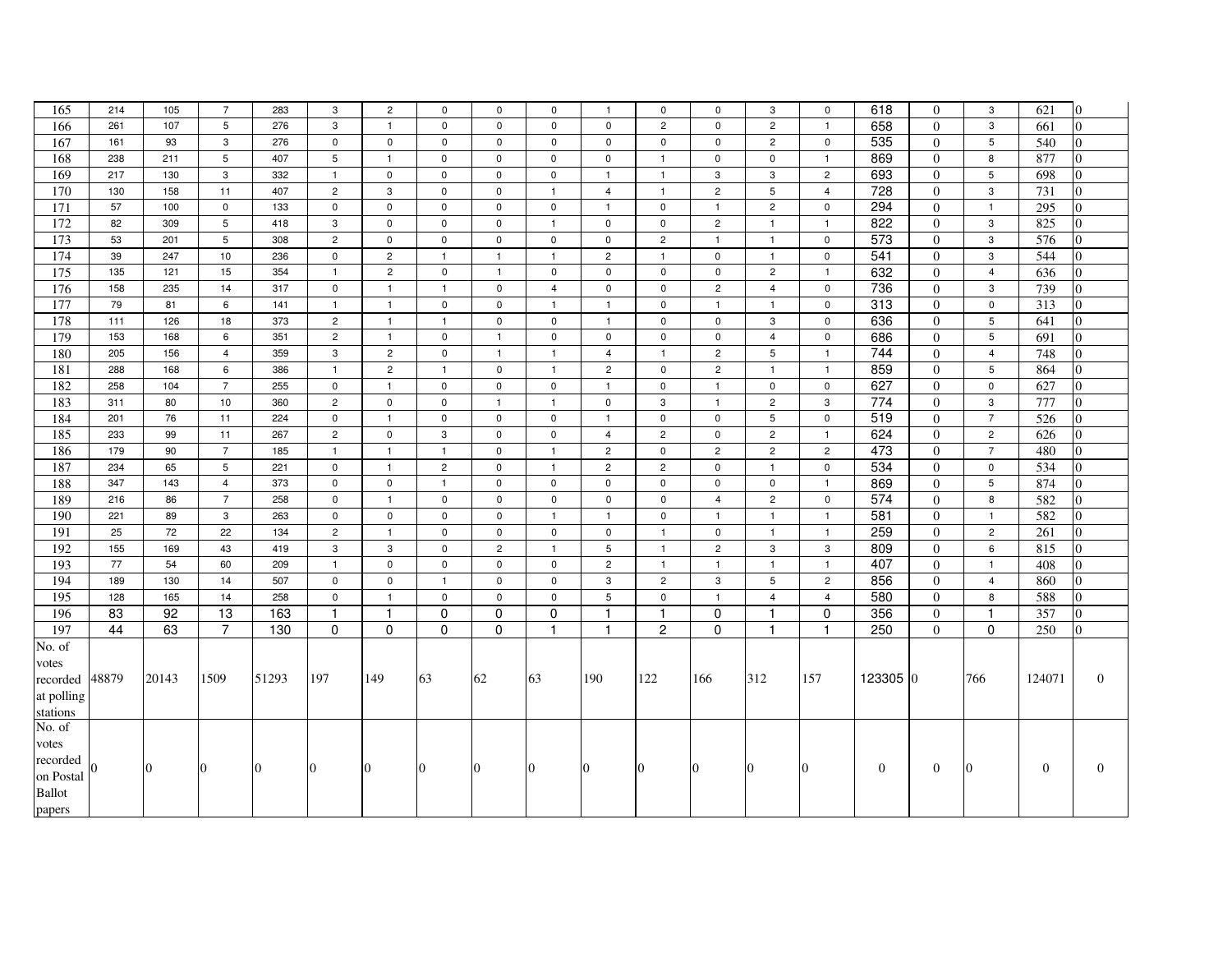| 165              | 214   | 105      | $\overline{7}$ | 283      | 3               | $\overline{2}$ | 0              | $\mathbf 0$    | $\mathbf 0$    | $\mathbf{1}$   | $\mathbf 0$    | $\mathbf 0$    | 3              | 0              | 618              | $\Omega$       | 3              | 621          | $\overline{0}$   |
|------------------|-------|----------|----------------|----------|-----------------|----------------|----------------|----------------|----------------|----------------|----------------|----------------|----------------|----------------|------------------|----------------|----------------|--------------|------------------|
| 166              | 261   | 107      | 5              | 276      | 3               | $\overline{1}$ | $\mathbf 0$    | $\mathbf 0$    | $\mathbf 0$    | $\mathbf 0$    | $\overline{2}$ | $\mathbf 0$    | $\overline{c}$ | $\mathbf{1}$   | 658              | $\theta$       | $\mathbf{3}$   | 661          | $\Omega$         |
| 167              | 161   | 93       | 3              | 276      | $\mathbf 0$     | $\pmb{0}$      | $\pmb{0}$      | 0              | $\mathsf 0$    | $\mathbf 0$    | $\mathsf 0$    | $\mathbf 0$    | $\overline{c}$ | $\mathbf 0$    | 535              | $\mathbf{0}$   | $\overline{5}$ | 540          | $\Omega$         |
| 168              | 238   | 211      | 5              | 407      | $5\phantom{.0}$ | $\mathbf{1}$   | $\pmb{0}$      | $\mathsf 0$    | $\mathbf 0$    | $\mathsf 0$    | $\mathbf{1}$   | $\mathbf 0$    | $\mathbf 0$    | $\overline{1}$ | 869              | $\Omega$       | 8              | 877          | $\Omega$         |
| 169              | 217   | 130      | 3              | 332      | $\mathbf{1}$    | $\mathbf{0}$   | $\mathbf 0$    | $\mathbf 0$    | $\mathbf 0$    | $\mathbf{1}$   | $\mathbf{1}$   | 3              | 3              | $\overline{2}$ | 693              | $\Omega$       | 5              | 698          | 0                |
| 170              | 130   | 158      | 11             | 407      | $\overline{c}$  | 3              | $\mathsf 0$    | $\mathbf 0$    | $\mathbf{1}$   | 4              | $\mathbf{1}$   | $\overline{c}$ | 5              | $\overline{4}$ | 728              | $\Omega$       | 3              | 731          | $\Omega$         |
| $\overline{171}$ | 57    | 100      | $\mathbf 0$    | 133      | $\pmb{0}$       | $\pmb{0}$      | $\pmb{0}$      | $\mathsf 0$    | $\mathsf 0$    | $\mathbf{1}$   | $\mathbf 0$    | $\mathbf{1}$   | $\overline{2}$ | $\mathbf 0$    | 294              | $\overline{0}$ | $\overline{1}$ | 295          | $\overline{0}$   |
| 172              | 82    | 309      | 5              | 418      | 3               | $\mathbf 0$    | $\mathsf 0$    | $\mathbf 0$    | $\mathbf{1}$   | $\mathbf 0$    | $\mathsf 0$    | $\overline{2}$ | $\mathbf{1}$   | $\overline{1}$ | 822              | $\overline{0}$ | 3              | 825          | $\Omega$         |
| 173              | 53    | 201      | 5              | 308      | $\overline{c}$  | $\mathbf 0$    | $\mathbf 0$    | $\mathbf 0$    | $\mathbf 0$    | $\mathbf 0$    | $\overline{2}$ | $\mathbf{1}$   | $\mathbf{1}$   | $\mathbf{0}$   | 573              | $\Omega$       | 3              | 576          |                  |
| 174              | 39    | 247      | 10             | 236      | $\mathbf 0$     | $\overline{c}$ | $\mathbf{1}$   | $\overline{1}$ | $\mathbf{1}$   | $\overline{c}$ | $\mathbf{1}$   | $\mathbf 0$    | $\mathbf{1}$   | $\mathbf 0$    | $\overline{541}$ | $\overline{0}$ | 3              | 544          | 0                |
| $\frac{175}{2}$  | 135   | 121      | 15             | 354      | $\overline{1}$  | $\overline{2}$ | $\pmb{0}$      | $\mathbf{1}$   | $\mathbf 0$    | $\mathbf 0$    | $\mathbf 0$    | $\mathbf 0$    | $\overline{c}$ | $\mathbf{1}$   | 632              | $\Omega$       | $\overline{4}$ | 636          | $\Omega$         |
| 176              | 158   | 235      | 14             | 317      | $\mathsf 0$     | $\overline{1}$ | $\mathbf{1}$   | $\mathbf 0$    | $\overline{4}$ | $\mathbf 0$    | $\mathbf 0$    | $\overline{c}$ | $\overline{4}$ | $\mathsf 0$    | 736              | $\Omega$       | 3              | 739          | $\overline{0}$   |
| 177              | 79    | 81       | 6              | 141      | $\mathbf{1}$    | $\mathbf{1}$   | $\mathsf 0$    | $\mathbf 0$    | $\mathbf{1}$   | $\mathbf{1}$   | $\mathbf 0$    | $\overline{1}$ | $\mathbf{1}$   | $\mathsf{O}$   | 313              | $\overline{0}$ | $\mathbf 0$    | 313          | $\Omega$         |
| 178              | 111   | 126      | 18             | 373      | $\overline{c}$  | $\mathbf{1}$   | $\mathbf{1}$   | $\mathbf 0$    | $\mathbf 0$    | $\mathbf{1}$   | $\mathbf 0$    | $\mathbf 0$    | 3              | 0              | 636              | $\Omega$       | 5              | 641          | 0                |
| 179              | 153   | 168      | 6              | 351      | $\overline{c}$  | $\mathbf{1}$   | $\mathbf 0$    | $\mathbf{1}$   | $\mathbf 0$    | $\mathbf 0$    | $\mathbf 0$    | $\mathsf 0$    | $\overline{4}$ | $\mathbf 0$    | 686              | $\overline{0}$ | $\overline{5}$ | 691          | $\overline{0}$   |
| 180              | 205   | 156      | $\overline{4}$ | 359      | $\mathsf 3$     | $\overline{2}$ | $\mathsf 0$    | $\mathbf{1}$   | $\mathbf{1}$   | $\overline{4}$ | $\mathbf{1}$   | $\overline{2}$ | 5              | $\mathbf{1}$   | 744              | $\mathbf{0}$   | $\overline{4}$ | 748          | $\overline{0}$   |
| 181              | 288   | 168      | 6              | 386      | $\mathbf{1}$    | $\overline{c}$ | $\mathbf{1}$   | $\mathbf 0$    | $\mathbf{1}$   | $\overline{c}$ | $\mathbf 0$    | $\overline{c}$ | $\mathbf{1}$   | $\mathbf{1}$   | 859              | $\Omega$       | $\overline{5}$ | 864          | $\Omega$         |
| 182              | 258   | 104      | $\overline{7}$ | 255      | $\mathbf 0$     | $\mathbf{1}$   | $\mathbf 0$    | $\mathbf 0$    | $\mathbf 0$    | $\mathbf{1}$   | $\mathbf 0$    | $\mathbf{1}$   | $\mathbf 0$    | $\mathbf{0}$   | 627              | $\theta$       | $\mathbf 0$    | 627          | $\Omega$         |
| 183              | 311   | 80       | 10             | 360      | $\overline{c}$  | $\mathbf 0$    | $\mathbf 0$    | $\mathbf{1}$   | $\mathbf{1}$   | $\mathbf 0$    | 3              | $\mathbf{1}$   | $\overline{c}$ | 3              | 774              | $\Omega$       | 3              | 777          | $\Omega$         |
| 184              | 201   | 76       | 11             | 224      | $\pmb{0}$       | $\mathbf{1}$   | $\pmb{0}$      | $\mathsf 0$    | $\mathsf 0$    | $\mathbf{1}$   | $\mathbf 0$    | $\mathbf 0$    | 5              | $\mathbf 0$    | 519              | $\Omega$       | $\overline{7}$ | 526          | $\Omega$         |
| 185              | 233   | 99       | 11             | 267      | $\overline{c}$  | $\mathbf 0$    | $\mathbf{3}$   | $\mathbf 0$    | $\mathsf 0$    | $\overline{4}$ | $\overline{c}$ | $\mathsf 0$    | $\overline{c}$ | $\overline{1}$ | 624              | $\overline{0}$ | $\overline{2}$ | 626          | $\Omega$         |
| 186              | 179   | 90       | $\overline{7}$ | 185      | $\mathbf{1}$    | $\mathbf{1}$   | $\mathbf{1}$   | $\mathbf 0$    | $\mathbf{1}$   | $\overline{c}$ | $\mathbf 0$    | $\overline{2}$ | $\overline{c}$ | $\overline{c}$ | 473              | $\Omega$       | $\overline{7}$ | 480          | 0                |
| 187              | 234   | 65       | 5              | 221      | $\mathbf 0$     | $\mathbf{1}$   | $\overline{2}$ | $\mathbf 0$    | $\mathbf{1}$   | $\overline{c}$ | $\overline{2}$ | $\mathbf 0$    | $\mathbf{1}$   | $\mathbf 0$    | 534              | $\overline{0}$ | 0              | 534          | 0                |
| 188              | 347   | 143      | $\overline{4}$ | 373      | $\pmb{0}$       | $\mathbf 0$    | $\mathbf{1}$   | $\mathsf 0$    | $\mathbf 0$    | $\mathsf 0$    | $\mathsf 0$    | 0              | $\mathbf 0$    | $\overline{1}$ | 869              | $\Omega$       | 5              | 874          | 0                |
| 189              | 216   | 86       | $\overline{7}$ | 258      | $\mathbf 0$     | $\overline{1}$ | $\mathbf 0$    | $\mathbf 0$    | $\mathbf 0$    | $\mathbf 0$    | $\mathsf 0$    | $\overline{4}$ | $\overline{c}$ | $\mathsf 0$    | 574              | $\overline{0}$ | 8              | 582          | $\overline{0}$   |
| 190              | 221   | 89       | 3              | 263      | $\mathsf 0$     | $\pmb{0}$      | $\mathbf 0$    | $\mathbf 0$    | $\mathbf{1}$   | $\mathbf{1}$   | $\mathbf 0$    | $\mathbf{1}$   | $\mathbf{1}$   | $\mathbf{1}$   | 581              | $\overline{0}$ | $\overline{1}$ | 582          | $\overline{0}$   |
| 191              | 25    | 72       | 22             | 134      | $\overline{c}$  | $\overline{1}$ | $\mathbf 0$    | $\mathbf 0$    | $\mathbf 0$    | $\mathbf 0$    | $\mathbf{1}$   | $\mathbf 0$    | $\mathbf{1}$   | $\mathbf{1}$   | 259              | $\Omega$       | $\overline{2}$ | 261          | 0                |
| 192              | 155   | 169      | 43             | 419      | $\mathsf 3$     | 3              | $\mathbf 0$    | $\overline{c}$ | $\mathbf{1}$   | 5              | $\mathbf{1}$   | $\overline{c}$ | 3              | 3              | 809              | $\overline{0}$ | 6              | 815          | $\Omega$         |
| 193              | 77    | 54       | 60             | 209      | $\overline{1}$  | $\mathsf 0$    | $\mathsf 0$    | $\mathbf 0$    | $\mathbf 0$    | $\overline{2}$ | $\mathbf{1}$   | $\mathbf{1}$   | $\mathbf{1}$   | $\mathbf{1}$   | 407              | $\overline{0}$ | $\mathbf{1}$   | 408          | $\Omega$         |
| 194              | 189   | 130      | 14             | 507      | $\mathbf 0$     | $\mathsf 0$    | $\mathbf{1}$   | $\mathbf 0$    | $\mathbf 0$    | $\mathbf{3}$   | $\overline{2}$ | 3              | 5              | $\overline{c}$ | 856              | $\Omega$       | $\overline{4}$ | 860          | $\overline{0}$   |
| 195              | 128   | 165      | 14             | 258      | $\mathbf 0$     | $\overline{1}$ | $\mathbf 0$    | $\mathbf 0$    | $\mathbf 0$    | 5              | $\mathbf 0$    | $\mathbf{1}$   | $\overline{4}$ | $\overline{4}$ | 580              | $\theta$       | 8              | 588          | $\Omega$         |
| 196              | 83    | 92       | 13             | 163      | $\mathbf{1}$    | $\mathbf{1}$   | $\mathbf 0$    | $\Omega$       | $\Omega$       | $\mathbf{1}$   | $\mathbf{1}$   | $\Omega$       | $\mathbf{1}$   | $\mathbf 0$    | 356              | $\Omega$       | $\overline{1}$ | 357          | 0                |
| 197              | 44    | 63       | $\overline{7}$ | 130      | $\pmb{0}$       | $\pmb{0}$      | $\pmb{0}$      | $\mathbf 0$    | $\mathbf{1}$   | $\mathbf{1}$   | $\overline{2}$ | $\Omega$       | $\mathbf{1}$   | $\mathbf{1}$   | 250              | $\Omega$       | $\mathbf 0$    | 250          | $\overline{0}$   |
| No. of           |       |          |                |          |                 |                |                |                |                |                |                |                |                |                |                  |                |                |              |                  |
| votes            |       |          |                |          |                 |                |                |                |                |                |                |                |                |                |                  |                |                |              |                  |
| recorded         | 48879 | 20143    | 1509           | 51293    | 197             | 149            | 63             | 62             | 63             | 190            | 122            | 166            | 312            | 157            | 123305 0         |                | 766            | 124071       | $\overline{0}$   |
| at polling       |       |          |                |          |                 |                |                |                |                |                |                |                |                |                |                  |                |                |              |                  |
| stations         |       |          |                |          |                 |                |                |                |                |                |                |                |                |                |                  |                |                |              |                  |
| No. of           |       |          |                |          |                 |                |                |                |                |                |                |                |                |                |                  |                |                |              |                  |
| votes            |       |          |                |          |                 |                |                |                |                |                |                |                |                |                |                  |                |                |              |                  |
| recorded         |       |          | $\Omega$       | $\Omega$ |                 | $\Omega$       |                |                |                |                | $\Omega$       |                |                |                |                  |                |                |              |                  |
| on Postal        |       | $\Omega$ |                |          | $\Omega$        |                | $\Omega$       | $\overline{0}$ | $\Omega$       | $\overline{0}$ |                | $\overline{0}$ | $\Omega$       | $\theta$       | $\boldsymbol{0}$ | $\mathbf{0}$   | $\Omega$       | $\mathbf{0}$ | $\boldsymbol{0}$ |
| <b>Ballot</b>    |       |          |                |          |                 |                |                |                |                |                |                |                |                |                |                  |                |                |              |                  |
| papers           |       |          |                |          |                 |                |                |                |                |                |                |                |                |                |                  |                |                |              |                  |
|                  |       |          |                |          |                 |                |                |                |                |                |                |                |                |                |                  |                |                |              |                  |